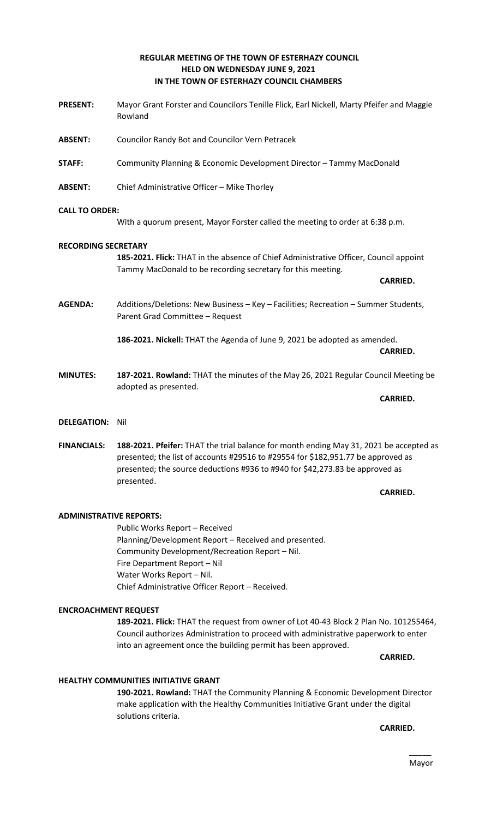# **REGULAR MEETING OF THE TOWN OF ESTERHAZY COUNCIL HELD ON WEDNESDAY JUNE 9, 2021 IN THE TOWN OF ESTERHAZY COUNCIL CHAMBERS**

- **PRESENT:** Mayor Grant Forster and Councilors Tenille Flick, Earl Nickell, Marty Pfeifer and Maggie Rowland
- **ABSENT:** Councilor Randy Bot and Councilor Vern Petracek
- **STAFF:** Community Planning & Economic Development Director Tammy MacDonald
- **ABSENT:** Chief Administrative Officer Mike Thorley

## **CALL TO ORDER:**

With a quorum present, Mayor Forster called the meeting to order at 6:38 p.m.

## **RECORDING SECRETARY**

**185-2021. Flick:** THAT in the absence of Chief Administrative Officer, Council appoint Tammy MacDonald to be recording secretary for this meeting.

**CARRIED.**

**AGENDA:** Additions/Deletions: New Business – Key – Facilities; Recreation – Summer Students, Parent Grad Committee – Request

> **186-2021. Nickell:** THAT the Agenda of June 9, 2021 be adopted as amended. **CARRIED.**

- **MINUTES: 187-2021. Rowland:** THAT the minutes of the May 26, 2021 Regular Council Meeting be adopted as presented.
- **DELEGATION:** Nil
- **FINANCIALS: 188-2021. Pfeifer:** THAT the trial balance for month ending May 31, 2021 be accepted as presented; the list of accounts #29516 to #29554 for \$182,951.77 be approved as presented; the source deductions #936 to #940 for \$42,273.83 be approved as presented.

**CARRIED.** 

**CARRIED.**

## **ADMINISTRATIVE REPORTS:**

Public Works Report – Received Planning/Development Report – Received and presented. Community Development/Recreation Report – Nil. Fire Department Report – Nil Water Works Report – Nil. Chief Administrative Officer Report – Received.

## **ENCROACHMENT REQUEST**

**189-2021. Flick:** THAT the request from owner of Lot 40-43 Block 2 Plan No. 101255464, Council authorizes Administration to proceed with administrative paperwork to enter into an agreement once the building permit has been approved.

**CARRIED.** 

## **HEALTHY COMMUNITIES INITIATIVE GRANT**

**190-2021. Rowland:** THAT the Community Planning & Economic Development Director make application with the Healthy Communities Initiative Grant under the digital solutions criteria.

**CARRIED.**

# $\overline{\phantom{a}}$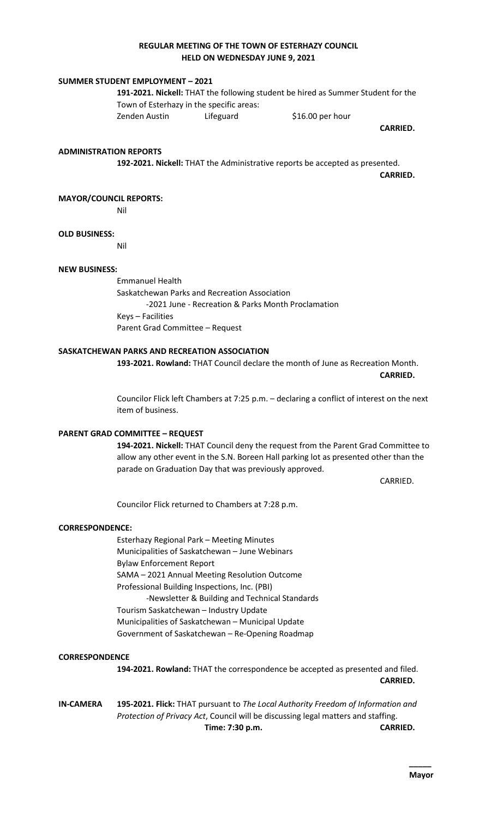# **REGULAR MEETING OF THE TOWN OF ESTERHAZY COUNCIL HELD ON WEDNESDAY JUNE 9, 2021**

## **SUMMER STUDENT EMPLOYMENT – 2021**

**191-2021. Nickell:** THAT the following student be hired as Summer Student for the Town of Esterhazy in the specific areas: Zenden Austin Lifeguard 516.00 per hour

**CARRIED.** 

#### **ADMINISTRATION REPORTS**

**192-2021. Nickell:** THAT the Administrative reports be accepted as presented.

**CARRIED.**

#### **MAYOR/COUNCIL REPORTS:**

Nil

#### **OLD BUSINESS:**

Nil

## **NEW BUSINESS:**

Emmanuel Health Saskatchewan Parks and Recreation Association -2021 June - Recreation & Parks Month Proclamation Keys – Facilities Parent Grad Committee – Request

## **SASKATCHEWAN PARKS AND RECREATION ASSOCIATION**

**193-2021. Rowland:** THAT Council declare the month of June as Recreation Month. **CARRIED.** 

Councilor Flick left Chambers at 7:25 p.m. – declaring a conflict of interest on the next item of business.

#### **PARENT GRAD COMMITTEE – REQUEST**

**194-2021. Nickell:** THAT Council deny the request from the Parent Grad Committee to allow any other event in the S.N. Boreen Hall parking lot as presented other than the parade on Graduation Day that was previously approved.

CARRIED.

Councilor Flick returned to Chambers at 7:28 p.m.

#### **CORRESPONDENCE:**

Esterhazy Regional Park – Meeting Minutes Municipalities of Saskatchewan – June Webinars Bylaw Enforcement Report SAMA – 2021 Annual Meeting Resolution Outcome Professional Building Inspections, Inc. (PBI) -Newsletter & Building and Technical Standards Tourism Saskatchewan – Industry Update Municipalities of Saskatchewan – Municipal Update Government of Saskatchewan – Re-Opening Roadmap

## **CORRESPONDENCE**

**194-2021. Rowland:** THAT the correspondence be accepted as presented and filed. **CARRIED.** 

**IN-CAMERA 195-2021. Flick:** THAT pursuant to *The Local Authority Freedom of Information and Protection of Privacy Act*, Council will be discussing legal matters and staffing. **Time: 7:30 p.m. CARRIED.**